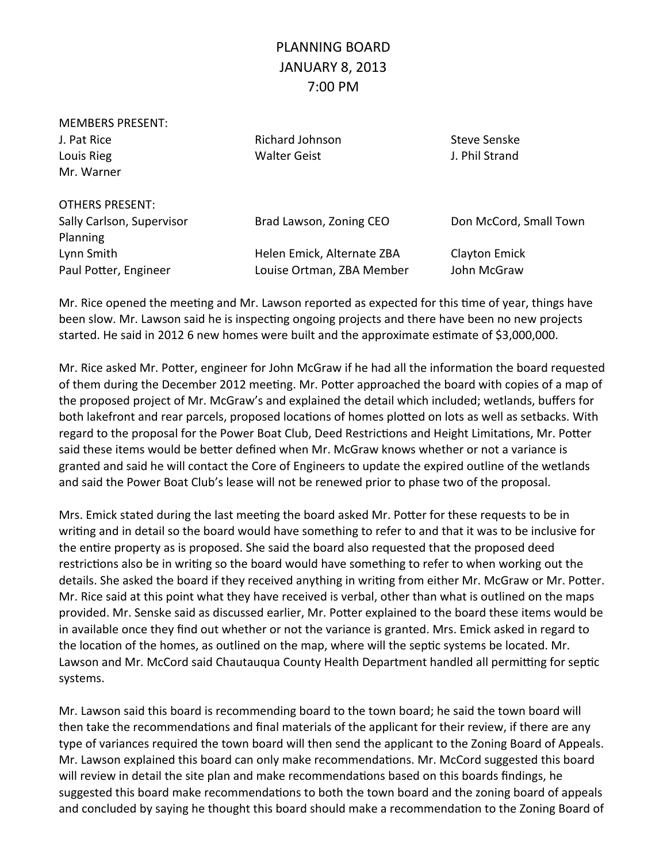## PLANNING BOARD JANUARY 8, 2013 7:00 PM

| <b>MEMBERS PRESENT:</b>   |                            |                        |
|---------------------------|----------------------------|------------------------|
| J. Pat Rice               | Richard Johnson            | Steve Senske           |
| Louis Rieg                | <b>Walter Geist</b>        | J. Phil Strand         |
| Mr. Warner                |                            |                        |
| <b>OTHERS PRESENT:</b>    |                            |                        |
| Sally Carlson, Supervisor | Brad Lawson, Zoning CEO    | Don McCord, Small Town |
| Planning                  |                            |                        |
| Lynn Smith                | Helen Emick, Alternate ZBA | <b>Clayton Emick</b>   |
| Paul Potter, Engineer     | Louise Ortman, ZBA Member  | John McGraw            |

Mr. Rice opened the meeting and Mr. Lawson reported as expected for this time of year, things have been slow. Mr. Lawson said he is inspecting ongoing projects and there have been no new projects started. He said in 2012 6 new homes were built and the approximate estimate of \$3,000,000.

Mr. Rice asked Mr. Potter, engineer for John McGraw if he had all the information the board requested of them during the December 2012 meeting. Mr. Potter approached the board with copies of a map of the proposed project of Mr. McGraw's and explained the detail which included; wetlands, buffers for both lakefront and rear parcels, proposed locations of homes plotted on lots as well as setbacks. With regard to the proposal for the Power Boat Club, Deed Restrictions and Height Limitations, Mr. Potter said these items would be better defined when Mr. McGraw knows whether or not a variance is granted and said he will contact the Core of Engineers to update the expired outline of the wetlands and said the Power Boat Club's lease will not be renewed prior to phase two of the proposal.

Mrs. Emick stated during the last meeting the board asked Mr. Potter for these requests to be in writing and in detail so the board would have something to refer to and that it was to be inclusive for the entire property as is proposed. She said the board also requested that the proposed deed restrictions also be in writing so the board would have something to refer to when working out the details. She asked the board if they received anything in writing from either Mr. McGraw or Mr. Potter. Mr. Rice said at this point what they have received is verbal, other than what is outlined on the maps provided. Mr. Senske said as discussed earlier, Mr. Potter explained to the board these items would be in available once they find out whether or not the variance is granted. Mrs. Emick asked in regard to the location of the homes, as outlined on the map, where will the septic systems be located. Mr. Lawson and Mr. McCord said Chautauqua County Health Department handled all permitting for septic systems.

Mr. Lawson said this board is recommending board to the town board; he said the town board will then take the recommendations and final materials of the applicant for their review, if there are any type of variances required the town board will then send the applicant to the Zoning Board of Appeals. Mr. Lawson explained this board can only make recommendations. Mr. McCord suggested this board will review in detail the site plan and make recommendations based on this boards findings, he suggested this board make recommendations to both the town board and the zoning board of appeals and concluded by saying he thought this board should make a recommendation to the Zoning Board of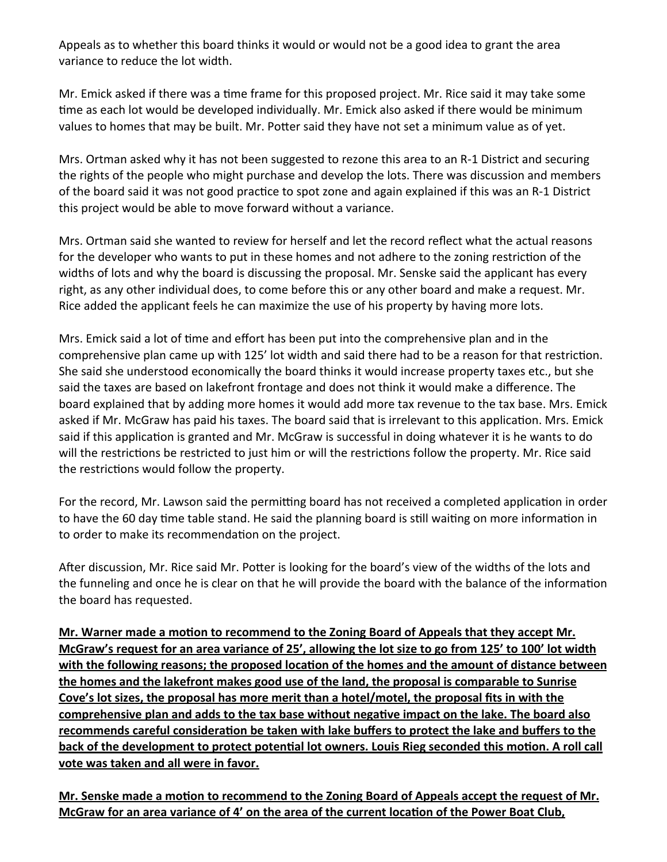Appeals as to whether this board thinks it would or would not be a good idea to grant the area variance to reduce the lot width.

Mr. Emick asked if there was a time frame for this proposed project. Mr. Rice said it may take some time as each lot would be developed individually. Mr. Emick also asked if there would be minimum values to homes that may be built. Mr. Potter said they have not set a minimum value as of yet.

Mrs. Ortman asked why it has not been suggested to rezone this area to an R-1 District and securing the rights of the people who might purchase and develop the lots. There was discussion and members of the board said it was not good practice to spot zone and again explained if this was an R-1 District this project would be able to move forward without a variance.

Mrs. Ortman said she wanted to review for herself and let the record reflect what the actual reasons for the developer who wants to put in these homes and not adhere to the zoning restriction of the widths of lots and why the board is discussing the proposal. Mr. Senske said the applicant has every right, as any other individual does, to come before this or any other board and make a request. Mr. Rice added the applicant feels he can maximize the use of his property by having more lots.

Mrs. Emick said a lot of time and effort has been put into the comprehensive plan and in the comprehensive plan came up with 125' lot width and said there had to be a reason for that restriction. She said she understood economically the board thinks it would increase property taxes etc., but she said the taxes are based on lakefront frontage and does not think it would make a difference. The board explained that by adding more homes it would add more tax revenue to the tax base. Mrs. Emick asked if Mr. McGraw has paid his taxes. The board said that is irrelevant to this application. Mrs. Emick said if this application is granted and Mr. McGraw is successful in doing whatever it is he wants to do will the restrictions be restricted to just him or will the restrictions follow the property. Mr. Rice said the restrictions would follow the property.

For the record, Mr. Lawson said the permitting board has not received a completed application in order to have the 60 day time table stand. He said the planning board is still waiting on more information in to order to make its recommendation on the project.

After discussion, Mr. Rice said Mr. Potter is looking for the board's view of the widths of the lots and the funneling and once he is clear on that he will provide the board with the balance of the information the board has requested.

**Mr. Warner made a motion to recommend to the Zoning Board of Appeals that they accept Mr. McGraw's request for an area variance of 25', allowing the lot size to go from 125' to 100' lot width**  with the following reasons; the proposed location of the homes and the amount of distance between **the homes and the lakefront makes good use of the land, the proposal is comparable to Sunrise Cove's lot sizes, the proposal has more merit than a hotel/motel, the proposal fits in with the**  comprehensive plan and adds to the tax base without negative impact on the lake. The board also recommends careful consideration be taken with lake buffers to protect the lake and buffers to the **back of the development to protect potential lot owners. Louis Rieg seconded this motion. A roll call vote was taken and all were in favor.**

Mr. Senske made a motion to recommend to the Zoning Board of Appeals accept the request of Mr. **McGraw for an area variance of 4' on the area of the current location of the Power Boat Club,**